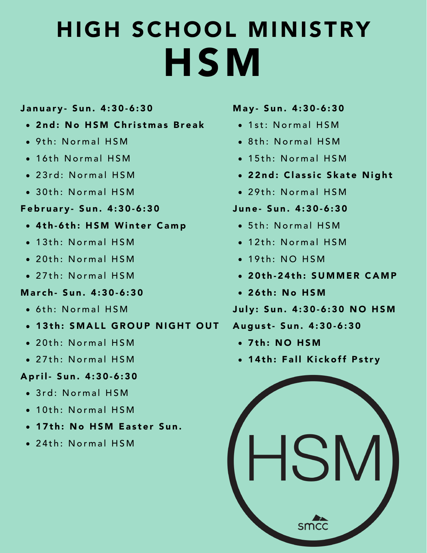# HIGH SCHOOL MINISTRY HSM

## January - Sun. 4:30-6:30

- 2nd: No HSM Christmas Break
- $\bullet$  9th: Normal HSM
- 16th Normal HSM
- 23rd: Normal HSM
- $\bullet$  30th: Normal HSM

### February - Sun. 4:30-6:30

- 4th-6th: HSM Winter Camp
- $\bullet$  13th: Normal HSM
- 20th: Normal HSM
- 27th: Normal HSM

### March- Sun. 4:30-6:30

- $\bullet$  6th: Normal HSM
- . 13th: SMALL GROUP NIGHT OUT
- 20th: Normal HSM
- 27th: Normal HSM

# April - Sun. 4:30-6:30

- $\bullet$  3rd · Normal HSM
- 10th: Normal HSM
- 17th: No HSM Easter Sun.
- 24th: Normal HSM

#### May- Sun. 4:30-6:30

- 1st: Normal HSM
- $\bullet$  8<sup>th</sup>: Normal HSM
- $\bullet$  15th: Normal HSM
- 22nd: Classic Skate Night
- $\bullet$  29th: Normal HSM

# June- Sun. 4:30-6:30

- 5th: Normal HSM
- $\bullet$  12th: Normal HSM
- $\bullet$  19th $\cdot$  NO HSM
- 20th-24th: SUMMER CAMP
- 26th: No HSM

# July: Sun. 4:30-6:30 NO HSM

### August - Sun. 4:30-6:30

- $\bullet$  7th: NO HSM
- 14th: Fall Kickoff Pstry